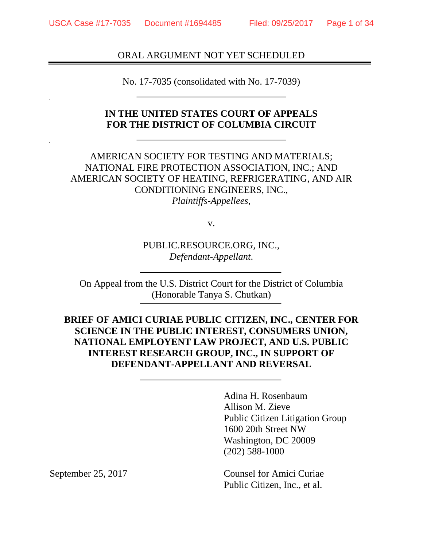### ORAL ARGUMENT NOT YET SCHEDULED

No. 17-7035 (consolidated with No. 17-7039)

### **IN THE UNITED STATES COURT OF APPEALS FOR THE DISTRICT OF COLUMBIA CIRCUIT**

AMERICAN SOCIETY FOR TESTING AND MATERIALS; NATIONAL FIRE PROTECTION ASSOCIATION, INC.; AND AMERICAN SOCIETY OF HEATING, REFRIGERATING, AND AIR CONDITIONING ENGINEERS, INC., *Plaintiffs-Appellees*,

v.

PUBLIC.RESOURCE.ORG, INC., *Defendant-Appellant*.

On Appeal from the U.S. District Court for the District of Columbia (Honorable Tanya S. Chutkan)

**BRIEF OF AMICI CURIAE PUBLIC CITIZEN, INC., CENTER FOR SCIENCE IN THE PUBLIC INTEREST, CONSUMERS UNION, NATIONAL EMPLOYENT LAW PROJECT, AND U.S. PUBLIC INTEREST RESEARCH GROUP, INC., IN SUPPORT OF DEFENDANT-APPELLANT AND REVERSAL** 

> Adina H. Rosenbaum Allison M. Zieve Public Citizen Litigation Group 1600 20th Street NW Washington, DC 20009 (202) 588-1000

September 25, 2017 Counsel for Amici Curiae Public Citizen, Inc., et al.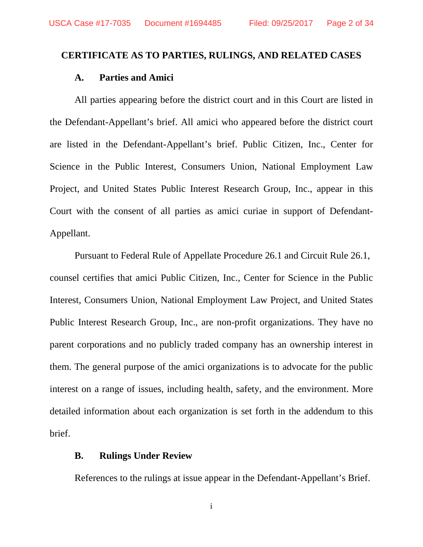#### **CERTIFICATE AS TO PARTIES, RULINGS, AND RELATED CASES**

#### **A. Parties and Amici**

All parties appearing before the district court and in this Court are listed in the Defendant-Appellant's brief. All amici who appeared before the district court are listed in the Defendant-Appellant's brief. Public Citizen, Inc., Center for Science in the Public Interest, Consumers Union, National Employment Law Project, and United States Public Interest Research Group, Inc., appear in this Court with the consent of all parties as amici curiae in support of Defendant-Appellant.

Pursuant to Federal Rule of Appellate Procedure 26.1 and Circuit Rule 26.1, counsel certifies that amici Public Citizen, Inc., Center for Science in the Public Interest, Consumers Union, National Employment Law Project, and United States Public Interest Research Group, Inc., are non-profit organizations. They have no parent corporations and no publicly traded company has an ownership interest in them. The general purpose of the amici organizations is to advocate for the public interest on a range of issues, including health, safety, and the environment. More detailed information about each organization is set forth in the addendum to this brief.

### **B. Rulings Under Review**

References to the rulings at issue appear in the Defendant-Appellant's Brief.

i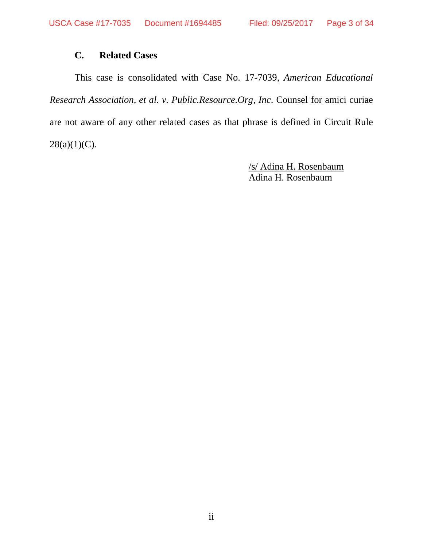## **C. Related Cases**

This case is consolidated with Case No. 17-7039, *American Educational Research Association, et al. v. Public.Resource.Org, Inc*. Counsel for amici curiae are not aware of any other related cases as that phrase is defined in Circuit Rule  $28(a)(1)(C)$ .

> /s/ Adina H. Rosenbaum Adina H. Rosenbaum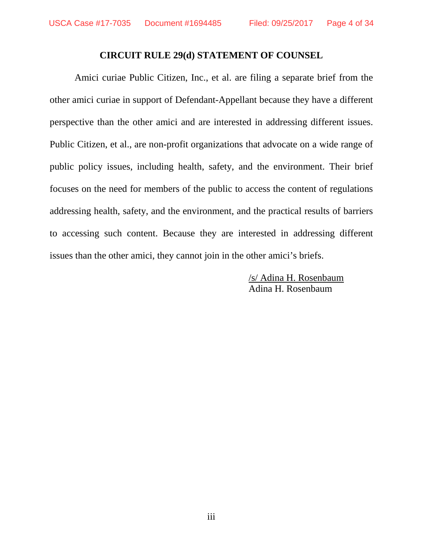### **CIRCUIT RULE 29(d) STATEMENT OF COUNSEL**

Amici curiae Public Citizen, Inc., et al. are filing a separate brief from the other amici curiae in support of Defendant-Appellant because they have a different perspective than the other amici and are interested in addressing different issues. Public Citizen, et al., are non-profit organizations that advocate on a wide range of public policy issues, including health, safety, and the environment. Their brief focuses on the need for members of the public to access the content of regulations addressing health, safety, and the environment, and the practical results of barriers to accessing such content. Because they are interested in addressing different issues than the other amici, they cannot join in the other amici's briefs.

> /s/ Adina H. Rosenbaum Adina H. Rosenbaum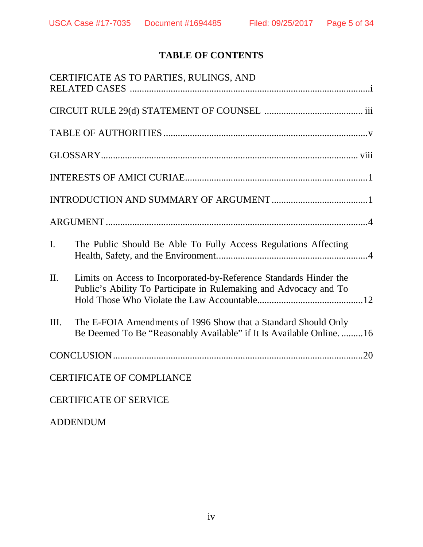# **TABLE OF CONTENTS**

|         | CERTIFICATE AS TO PARTIES, RULINGS, AND                                                                                                 |
|---------|-----------------------------------------------------------------------------------------------------------------------------------------|
|         |                                                                                                                                         |
|         |                                                                                                                                         |
|         |                                                                                                                                         |
|         |                                                                                                                                         |
|         |                                                                                                                                         |
|         |                                                                                                                                         |
| I.      | The Public Should Be Able To Fully Access Regulations Affecting                                                                         |
| $\Pi$ . | Limits on Access to Incorporated-by-Reference Standards Hinder the<br>Public's Ability To Participate in Rulemaking and Advocacy and To |
| Ш.      | The E-FOIA Amendments of 1996 Show that a Standard Should Only<br>Be Deemed To Be "Reasonably Available" if It Is Available Online. 16  |
|         |                                                                                                                                         |
|         | <b>CERTIFICATE OF COMPLIANCE</b>                                                                                                        |
|         | <b>CERTIFICATE OF SERVICE</b>                                                                                                           |

ADDENDUM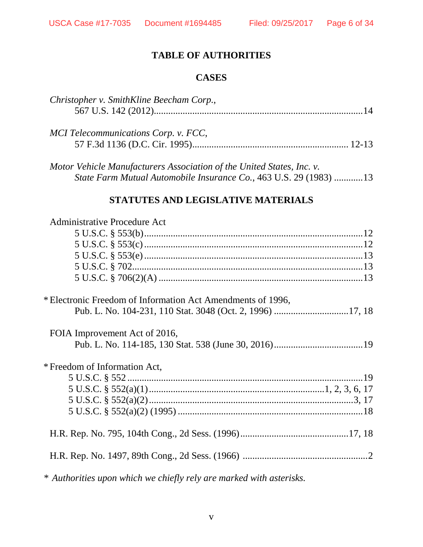## **TABLE OF AUTHORITIES**

## **CASES**

| Christopher v. SmithKline Beecham Corp., |  |
|------------------------------------------|--|
|                                          |  |
|                                          |  |
| MCI Telecommunications Corp. v. FCC,     |  |
|                                          |  |
|                                          |  |

*Motor Vehicle Manufacturers Association of the United States, Inc. v. State Farm Mutual Automobile Insurance Co.*, 463 U.S. 29 (1983) ............ 13

## **STATUTES AND LEGISLATIVE MATERIALS**

| <b>Administrative Procedure Act</b>                         |  |
|-------------------------------------------------------------|--|
|                                                             |  |
|                                                             |  |
|                                                             |  |
|                                                             |  |
|                                                             |  |
| * Electronic Freedom of Information Act Amendments of 1996, |  |
|                                                             |  |
| FOIA Improvement Act of 2016,                               |  |
|                                                             |  |
| * Freedom of Information Act,                               |  |
|                                                             |  |
|                                                             |  |
|                                                             |  |
|                                                             |  |
|                                                             |  |
|                                                             |  |
|                                                             |  |

*\* Authorities upon which we chiefly rely are marked with asterisks.*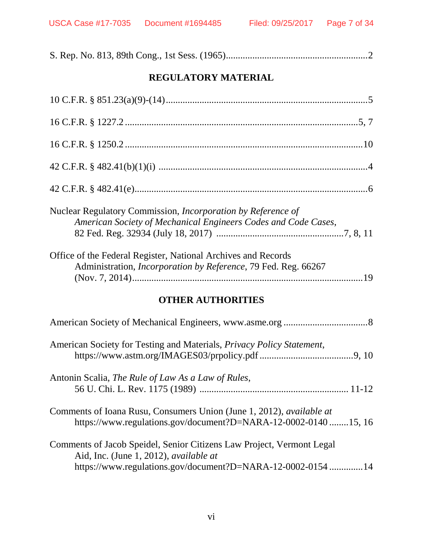|--|--|--|

# **REGULATORY MATERIAL**

| Nuclear Regulatory Commission, <i>Incorporation by Reference of</i><br>American Society of Mechanical Engineers Codes and Code Cases,<br>Office of the Federal Register, National Archives and Records |
|--------------------------------------------------------------------------------------------------------------------------------------------------------------------------------------------------------|
| Administration, <i>Incorporation by Reference</i> , 79 Fed. Reg. 66267                                                                                                                                 |
| <b>OTHER AUTHORITIES</b>                                                                                                                                                                               |
|                                                                                                                                                                                                        |
| American Society for Testing and Materials, <i>Privacy Policy Statement</i> ,                                                                                                                          |
| Antonin Scalia, The Rule of Law As a Law of Rules,                                                                                                                                                     |
|                                                                                                                                                                                                        |
| Comments of Ioana Rusu, Consumers Union (June 1, 2012), <i>available at</i><br>https://www.regulations.gov/document?D=NARA-12-0002-0140 15, 16                                                         |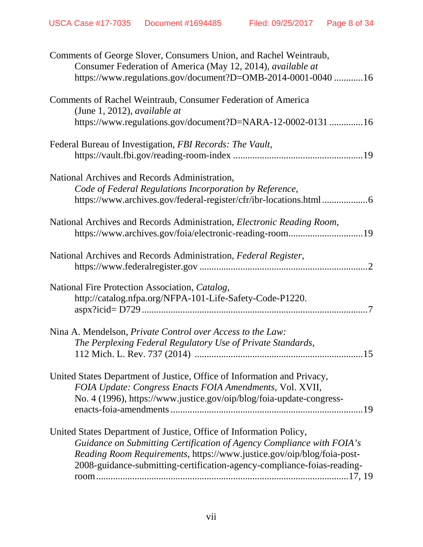| Comments of George Slover, Consumers Union, and Rachel Weintraub,<br>Consumer Federation of America (May 12, 2014), available at<br>https://www.regulations.gov/document?D=OMB-2014-0001-0040  16                                                                                                |
|--------------------------------------------------------------------------------------------------------------------------------------------------------------------------------------------------------------------------------------------------------------------------------------------------|
| Comments of Rachel Weintraub, Consumer Federation of America<br>(June 1, 2012), <i>available at</i><br>https://www.regulations.gov/document?D=NARA-12-0002-0131 16                                                                                                                               |
| Federal Bureau of Investigation, FBI Records: The Vault,                                                                                                                                                                                                                                         |
| National Archives and Records Administration,<br>Code of Federal Regulations Incorporation by Reference,<br>https://www.archives.gov/federal-register/cfr/ibr-locations.html 6                                                                                                                   |
| National Archives and Records Administration, Electronic Reading Room,<br>https://www.archives.gov/foia/electronic-reading-room19                                                                                                                                                                |
| National Archives and Records Administration, Federal Register,                                                                                                                                                                                                                                  |
| National Fire Protection Association, Catalog,<br>http://catalog.nfpa.org/NFPA-101-Life-Safety-Code-P1220.                                                                                                                                                                                       |
| Nina A. Mendelson, Private Control over Access to the Law:<br>The Perplexing Federal Regulatory Use of Private Standards,                                                                                                                                                                        |
| United States Department of Justice, Office of Information and Privacy,<br>FOIA Update: Congress Enacts FOIA Amendments, Vol. XVII,<br>No. 4 (1996), https://www.justice.gov/oip/blog/foia-update-congress-                                                                                      |
| United States Department of Justice, Office of Information Policy,<br>Guidance on Submitting Certification of Agency Compliance with FOIA's<br>Reading Room Requirements, https://www.justice.gov/oip/blog/foia-post-<br>2008-guidance-submitting-certification-agency-compliance-foias-reading- |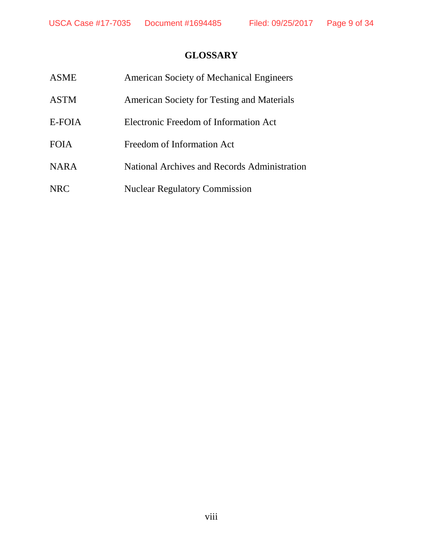# **GLOSSARY**

| <b>ASME</b> | <b>American Society of Mechanical Engineers</b> |
|-------------|-------------------------------------------------|
| <b>ASTM</b> | American Society for Testing and Materials      |
| E-FOIA      | Electronic Freedom of Information Act           |
| <b>FOIA</b> | Freedom of Information Act                      |
| <b>NARA</b> | National Archives and Records Administration    |
| <b>NRC</b>  | <b>Nuclear Regulatory Commission</b>            |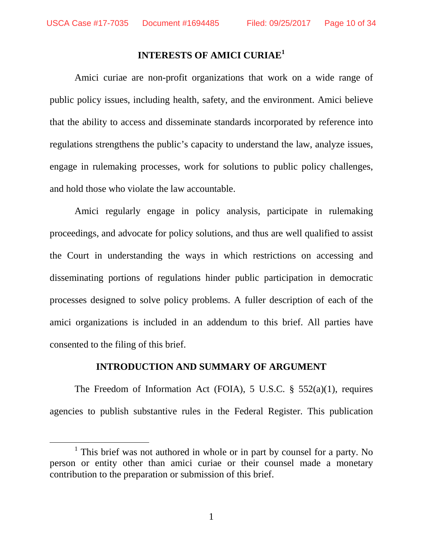<u>.</u>

# **INTERESTS OF AMICI CURIAE<sup>1</sup>**

Amici curiae are non-profit organizations that work on a wide range of public policy issues, including health, safety, and the environment. Amici believe that the ability to access and disseminate standards incorporated by reference into regulations strengthens the public's capacity to understand the law, analyze issues, engage in rulemaking processes, work for solutions to public policy challenges, and hold those who violate the law accountable.

Amici regularly engage in policy analysis, participate in rulemaking proceedings, and advocate for policy solutions, and thus are well qualified to assist the Court in understanding the ways in which restrictions on accessing and disseminating portions of regulations hinder public participation in democratic processes designed to solve policy problems. A fuller description of each of the amici organizations is included in an addendum to this brief. All parties have consented to the filing of this brief.

#### **INTRODUCTION AND SUMMARY OF ARGUMENT**

The Freedom of Information Act (FOIA), 5 U.S.C. § 552(a)(1), requires agencies to publish substantive rules in the Federal Register. This publication

1

<sup>&</sup>lt;sup>1</sup> This brief was not authored in whole or in part by counsel for a party. No person or entity other than amici curiae or their counsel made a monetary contribution to the preparation or submission of this brief.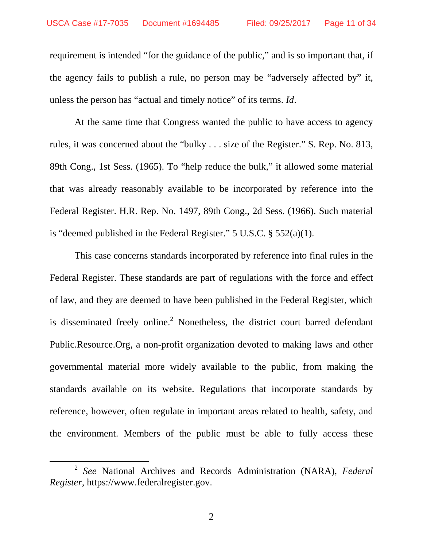requirement is intended "for the guidance of the public," and is so important that, if the agency fails to publish a rule, no person may be "adversely affected by" it, unless the person has "actual and timely notice" of its terms. *Id*.

At the same time that Congress wanted the public to have access to agency rules, it was concerned about the "bulky . . . size of the Register." S. Rep. No. 813, 89th Cong., 1st Sess. (1965). To "help reduce the bulk," it allowed some material that was already reasonably available to be incorporated by reference into the Federal Register. H.R. Rep. No. 1497, 89th Cong., 2d Sess. (1966). Such material is "deemed published in the Federal Register." 5 U.S.C. § 552(a)(1).

This case concerns standards incorporated by reference into final rules in the Federal Register. These standards are part of regulations with the force and effect of law, and they are deemed to have been published in the Federal Register, which is disseminated freely online.<sup>2</sup> Nonetheless, the district court barred defendant Public.Resource.Org, a non-profit organization devoted to making laws and other governmental material more widely available to the public, from making the standards available on its website. Regulations that incorporate standards by reference, however, often regulate in important areas related to health, safety, and the environment. Members of the public must be able to fully access these

<sup>2</sup> *See* National Archives and Records Administration (NARA), *Federal Register*, https://www.federalregister.gov.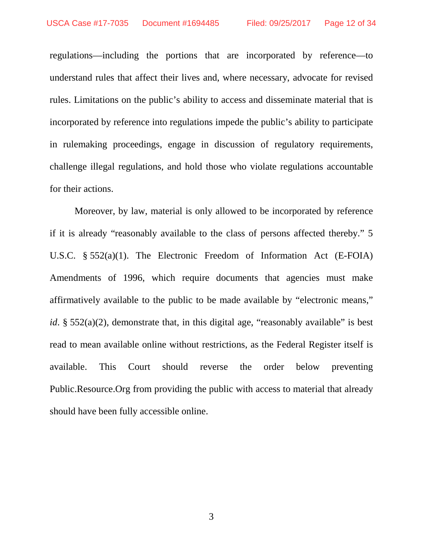regulations—including the portions that are incorporated by reference—to understand rules that affect their lives and, where necessary, advocate for revised rules. Limitations on the public's ability to access and disseminate material that is incorporated by reference into regulations impede the public's ability to participate in rulemaking proceedings, engage in discussion of regulatory requirements, challenge illegal regulations, and hold those who violate regulations accountable for their actions.

Moreover, by law, material is only allowed to be incorporated by reference if it is already "reasonably available to the class of persons affected thereby." 5 U.S.C. § 552(a)(1). The Electronic Freedom of Information Act (E-FOIA) Amendments of 1996, which require documents that agencies must make affirmatively available to the public to be made available by "electronic means," *id*. § 552(a)(2), demonstrate that, in this digital age, "reasonably available" is best read to mean available online without restrictions, as the Federal Register itself is available. This Court should reverse the order below preventing Public.Resource.Org from providing the public with access to material that already should have been fully accessible online.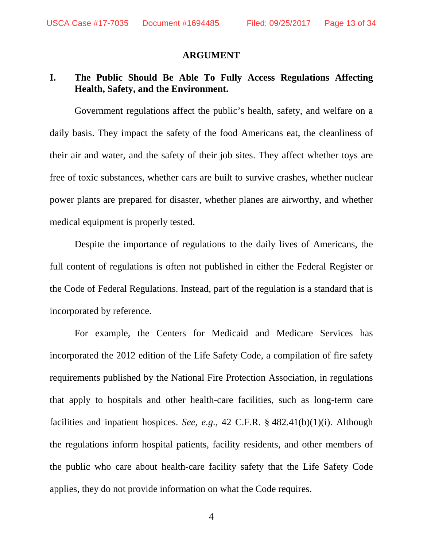#### **ARGUMENT**

## **I. The Public Should Be Able To Fully Access Regulations Affecting Health, Safety, and the Environment.**

Government regulations affect the public's health, safety, and welfare on a daily basis. They impact the safety of the food Americans eat, the cleanliness of their air and water, and the safety of their job sites. They affect whether toys are free of toxic substances, whether cars are built to survive crashes, whether nuclear power plants are prepared for disaster, whether planes are airworthy, and whether medical equipment is properly tested.

Despite the importance of regulations to the daily lives of Americans, the full content of regulations is often not published in either the Federal Register or the Code of Federal Regulations. Instead, part of the regulation is a standard that is incorporated by reference.

For example, the Centers for Medicaid and Medicare Services has incorporated the 2012 edition of the Life Safety Code, a compilation of fire safety requirements published by the National Fire Protection Association, in regulations that apply to hospitals and other health-care facilities, such as long-term care facilities and inpatient hospices. *See*, *e.g.*, 42 C.F.R. § 482.41(b)(1)(i). Although the regulations inform hospital patients, facility residents, and other members of the public who care about health-care facility safety that the Life Safety Code applies, they do not provide information on what the Code requires.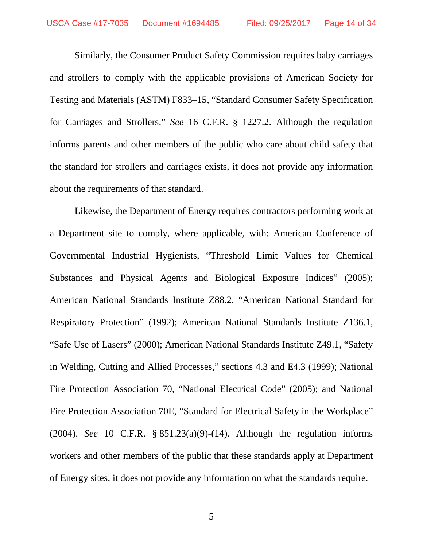Similarly, the Consumer Product Safety Commission requires baby carriages and strollers to comply with the applicable provisions of American Society for Testing and Materials (ASTM) F833–15, "Standard Consumer Safety Specification for Carriages and Strollers." *See* 16 C.F.R. § 1227.2. Although the regulation informs parents and other members of the public who care about child safety that the standard for strollers and carriages exists, it does not provide any information about the requirements of that standard.

Likewise, the Department of Energy requires contractors performing work at a Department site to comply, where applicable, with: American Conference of Governmental Industrial Hygienists, "Threshold Limit Values for Chemical Substances and Physical Agents and Biological Exposure Indices" (2005); American National Standards Institute Z88.2, "American National Standard for Respiratory Protection" (1992); American National Standards Institute Z136.1, "Safe Use of Lasers" (2000); American National Standards Institute Z49.1, "Safety in Welding, Cutting and Allied Processes," sections 4.3 and E4.3 (1999); National Fire Protection Association 70, "National Electrical Code" (2005); and National Fire Protection Association 70E, "Standard for Electrical Safety in the Workplace" (2004). *See* 10 C.F.R. § 851.23(a)(9)-(14). Although the regulation informs workers and other members of the public that these standards apply at Department of Energy sites, it does not provide any information on what the standards require.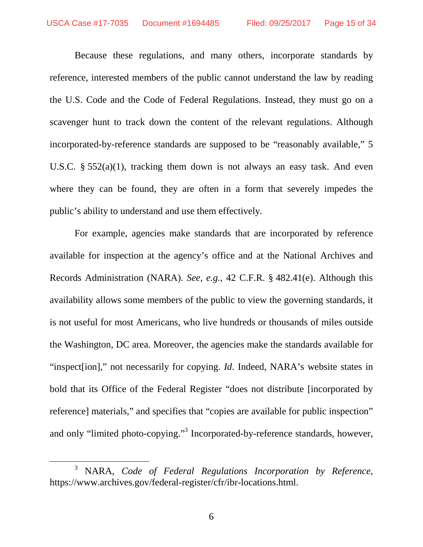Because these regulations, and many others, incorporate standards by reference, interested members of the public cannot understand the law by reading the U.S. Code and the Code of Federal Regulations. Instead, they must go on a scavenger hunt to track down the content of the relevant regulations. Although incorporated-by-reference standards are supposed to be "reasonably available," 5 U.S.C. § 552(a)(1), tracking them down is not always an easy task. And even where they can be found, they are often in a form that severely impedes the public's ability to understand and use them effectively.

For example, agencies make standards that are incorporated by reference available for inspection at the agency's office and at the National Archives and Records Administration (NARA). *See*, *e.g.*, 42 C.F.R. § 482.41(e). Although this availability allows some members of the public to view the governing standards, it is not useful for most Americans, who live hundreds or thousands of miles outside the Washington, DC area. Moreover, the agencies make the standards available for "inspect[ion]," not necessarily for copying. *Id*. Indeed, NARA's website states in bold that its Office of the Federal Register "does not distribute [incorporated by reference] materials," and specifies that "copies are available for public inspection" and only "limited photo-copying."<sup>3</sup> Incorporated-by-reference standards, however,

<sup>3</sup> NARA, *Code of Federal Regulations Incorporation by Reference*, https://www.archives.gov/federal-register/cfr/ibr-locations.html.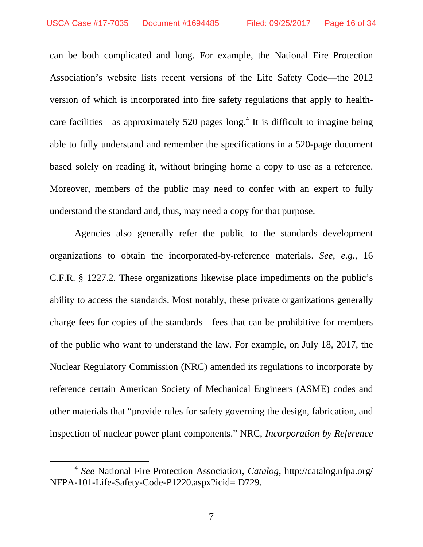can be both complicated and long. For example, the National Fire Protection Association's website lists recent versions of the Life Safety Code—the 2012 version of which is incorporated into fire safety regulations that apply to healthcare facilities—as approximately 520 pages  $long<sup>4</sup>$  It is difficult to imagine being able to fully understand and remember the specifications in a 520-page document based solely on reading it, without bringing home a copy to use as a reference. Moreover, members of the public may need to confer with an expert to fully understand the standard and, thus, may need a copy for that purpose.

Agencies also generally refer the public to the standards development organizations to obtain the incorporated-by-reference materials. *See*, *e.g.*, 16 C.F.R. § 1227.2. These organizations likewise place impediments on the public's ability to access the standards. Most notably, these private organizations generally charge fees for copies of the standards—fees that can be prohibitive for members of the public who want to understand the law. For example, on July 18, 2017, the Nuclear Regulatory Commission (NRC) amended its regulations to incorporate by reference certain American Society of Mechanical Engineers (ASME) codes and other materials that "provide rules for safety governing the design, fabrication, and inspection of nuclear power plant components." NRC, *Incorporation by Reference* 

<sup>4</sup> *See* National Fire Protection Association, *Catalog*, http://catalog.nfpa.org/ NFPA-101-Life-Safety-Code-P1220.aspx?icid= D729.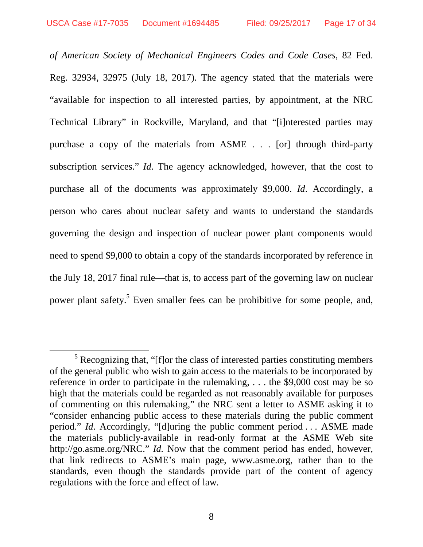-

*of American Society of Mechanical Engineers Codes and Code Cases*, 82 Fed. Reg. 32934, 32975 (July 18, 2017). The agency stated that the materials were "available for inspection to all interested parties, by appointment, at the NRC Technical Library" in Rockville, Maryland, and that "[i]nterested parties may purchase a copy of the materials from ASME . . . [or] through third-party subscription services." *Id*. The agency acknowledged, however, that the cost to purchase all of the documents was approximately \$9,000. *Id*. Accordingly, a person who cares about nuclear safety and wants to understand the standards governing the design and inspection of nuclear power plant components would need to spend \$9,000 to obtain a copy of the standards incorporated by reference in the July 18, 2017 final rule—that is, to access part of the governing law on nuclear power plant safety.<sup>5</sup> Even smaller fees can be prohibitive for some people, and,

 $<sup>5</sup>$  Recognizing that, "[f]or the class of interested parties constituting members</sup> of the general public who wish to gain access to the materials to be incorporated by reference in order to participate in the rulemaking, . . . the \$9,000 cost may be so high that the materials could be regarded as not reasonably available for purposes of commenting on this rulemaking," the NRC sent a letter to ASME asking it to "consider enhancing public access to these materials during the public comment period." *Id*. Accordingly, "[d]uring the public comment period . . . ASME made the materials publicly-available in read-only format at the ASME Web site http://go.asme.org/NRC." *Id.* Now that the comment period has ended, however, that link redirects to ASME's main page, www.asme.org, rather than to the standards, even though the standards provide part of the content of agency regulations with the force and effect of law.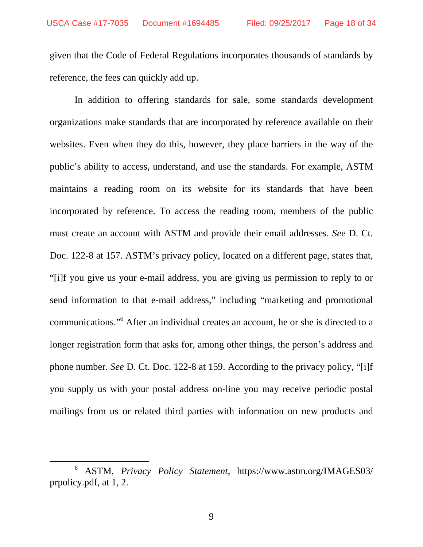given that the Code of Federal Regulations incorporates thousands of standards by reference, the fees can quickly add up.

In addition to offering standards for sale, some standards development organizations make standards that are incorporated by reference available on their websites. Even when they do this, however, they place barriers in the way of the public's ability to access, understand, and use the standards. For example, ASTM maintains a reading room on its website for its standards that have been incorporated by reference. To access the reading room, members of the public must create an account with ASTM and provide their email addresses. *See* D. Ct. Doc. 122-8 at 157. ASTM's privacy policy, located on a different page, states that, "[i]f you give us your e-mail address, you are giving us permission to reply to or send information to that e-mail address," including "marketing and promotional communications."<sup>6</sup> After an individual creates an account, he or she is directed to a longer registration form that asks for, among other things, the person's address and phone number. *See* D. Ct. Doc. 122-8 at 159. According to the privacy policy, "[i]f you supply us with your postal address on-line you may receive periodic postal mailings from us or related third parties with information on new products and

<sup>6</sup> ASTM, *Privacy Policy Statement*, https://www.astm.org/IMAGES03/ prpolicy.pdf, at 1, 2.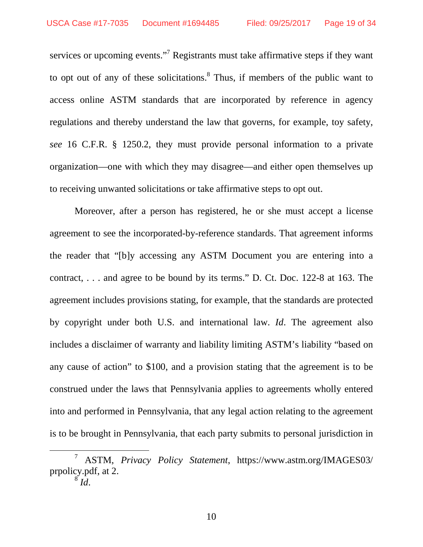services or upcoming events."<sup>7</sup> Registrants must take affirmative steps if they want to opt out of any of these solicitations. $<sup>8</sup>$  Thus, if members of the public want to</sup> access online ASTM standards that are incorporated by reference in agency regulations and thereby understand the law that governs, for example, toy safety, *see* 16 C.F.R. § 1250.2, they must provide personal information to a private organization—one with which they may disagree—and either open themselves up to receiving unwanted solicitations or take affirmative steps to opt out.

Moreover, after a person has registered, he or she must accept a license agreement to see the incorporated-by-reference standards. That agreement informs the reader that "[b]y accessing any ASTM Document you are entering into a contract, . . . and agree to be bound by its terms." D. Ct. Doc. 122-8 at 163. The agreement includes provisions stating, for example, that the standards are protected by copyright under both U.S. and international law. *Id*. The agreement also includes a disclaimer of warranty and liability limiting ASTM's liability "based on any cause of action" to \$100, and a provision stating that the agreement is to be construed under the laws that Pennsylvania applies to agreements wholly entered into and performed in Pennsylvania, that any legal action relating to the agreement is to be brought in Pennsylvania, that each party submits to personal jurisdiction in

 $\int^8 I \, d$ .

<sup>7</sup> ASTM, *Privacy Policy Statement*, https://www.astm.org/IMAGES03/ prpolicy.pdf, at 2.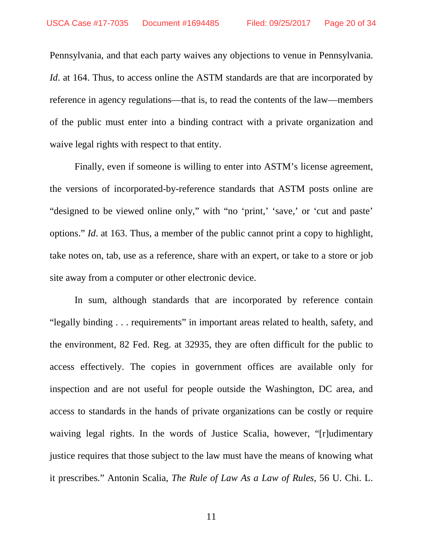Pennsylvania, and that each party waives any objections to venue in Pennsylvania. *Id.* at 164. Thus, to access online the ASTM standards are that are incorporated by reference in agency regulations—that is, to read the contents of the law—members of the public must enter into a binding contract with a private organization and waive legal rights with respect to that entity.

Finally, even if someone is willing to enter into ASTM's license agreement, the versions of incorporated-by-reference standards that ASTM posts online are "designed to be viewed online only," with "no 'print,' 'save,' or 'cut and paste' options." *Id*. at 163. Thus, a member of the public cannot print a copy to highlight, take notes on, tab, use as a reference, share with an expert, or take to a store or job site away from a computer or other electronic device.

In sum, although standards that are incorporated by reference contain "legally binding . . . requirements" in important areas related to health, safety, and the environment, 82 Fed. Reg. at 32935, they are often difficult for the public to access effectively. The copies in government offices are available only for inspection and are not useful for people outside the Washington, DC area, and access to standards in the hands of private organizations can be costly or require waiving legal rights. In the words of Justice Scalia, however, "[r]udimentary justice requires that those subject to the law must have the means of knowing what it prescribes." Antonin Scalia, *The Rule of Law As a Law of Rules*, 56 U. Chi. L.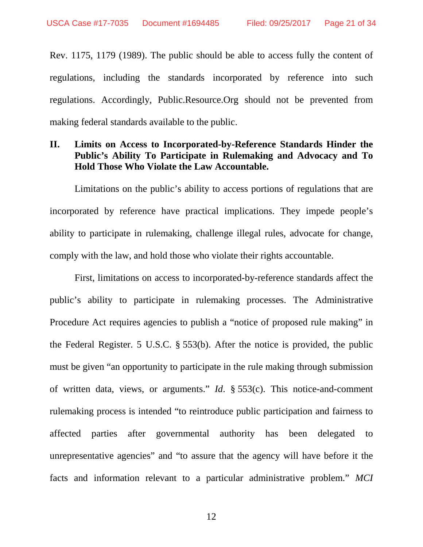Rev. 1175, 1179 (1989). The public should be able to access fully the content of regulations, including the standards incorporated by reference into such regulations. Accordingly, Public.Resource.Org should not be prevented from making federal standards available to the public.

### **II. Limits on Access to Incorporated-by-Reference Standards Hinder the Public's Ability To Participate in Rulemaking and Advocacy and To Hold Those Who Violate the Law Accountable.**

Limitations on the public's ability to access portions of regulations that are incorporated by reference have practical implications. They impede people's ability to participate in rulemaking, challenge illegal rules, advocate for change, comply with the law, and hold those who violate their rights accountable.

First, limitations on access to incorporated-by-reference standards affect the public's ability to participate in rulemaking processes. The Administrative Procedure Act requires agencies to publish a "notice of proposed rule making" in the Federal Register. 5 U.S.C. § 553(b). After the notice is provided, the public must be given "an opportunity to participate in the rule making through submission of written data, views, or arguments." *Id*. § 553(c). This notice-and-comment rulemaking process is intended "to reintroduce public participation and fairness to affected parties after governmental authority has been delegated to unrepresentative agencies" and "to assure that the agency will have before it the facts and information relevant to a particular administrative problem." *MCI* 

12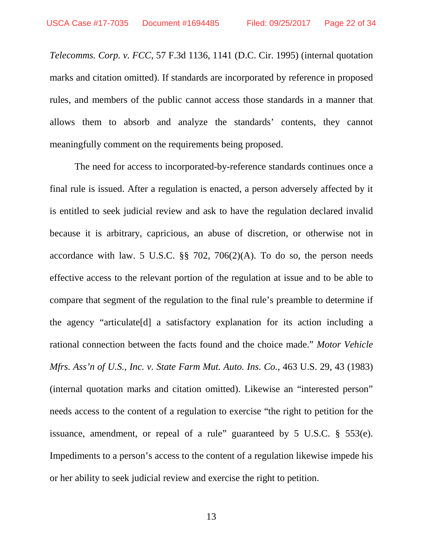*Telecomms. Corp. v. FCC*, 57 F.3d 1136, 1141 (D.C. Cir. 1995) (internal quotation marks and citation omitted). If standards are incorporated by reference in proposed rules, and members of the public cannot access those standards in a manner that allows them to absorb and analyze the standards' contents, they cannot meaningfully comment on the requirements being proposed.

The need for access to incorporated-by-reference standards continues once a final rule is issued. After a regulation is enacted, a person adversely affected by it is entitled to seek judicial review and ask to have the regulation declared invalid because it is arbitrary, capricious, an abuse of discretion, or otherwise not in accordance with law. 5 U.S.C.  $\S$  702, 706(2)(A). To do so, the person needs effective access to the relevant portion of the regulation at issue and to be able to compare that segment of the regulation to the final rule's preamble to determine if the agency "articulate[d] a satisfactory explanation for its action including a rational connection between the facts found and the choice made." *Motor Vehicle Mfrs. Ass'n of U.S., Inc. v. State Farm Mut. Auto. Ins. Co.*, 463 U.S. 29, 43 (1983) (internal quotation marks and citation omitted). Likewise an "interested person" needs access to the content of a regulation to exercise "the right to petition for the issuance, amendment, or repeal of a rule" guaranteed by 5 U.S.C. § 553(e). Impediments to a person's access to the content of a regulation likewise impede his or her ability to seek judicial review and exercise the right to petition.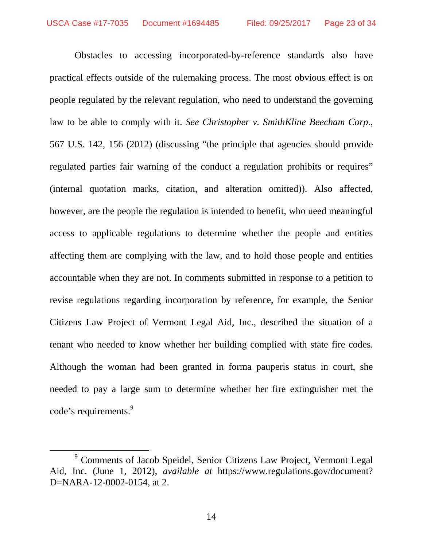Obstacles to accessing incorporated-by-reference standards also have practical effects outside of the rulemaking process. The most obvious effect is on people regulated by the relevant regulation, who need to understand the governing law to be able to comply with it. *See Christopher v. SmithKline Beecham Corp.*, 567 U.S. 142, 156 (2012) (discussing "the principle that agencies should provide regulated parties fair warning of the conduct a regulation prohibits or requires" (internal quotation marks, citation, and alteration omitted)). Also affected, however, are the people the regulation is intended to benefit, who need meaningful access to applicable regulations to determine whether the people and entities affecting them are complying with the law, and to hold those people and entities accountable when they are not. In comments submitted in response to a petition to revise regulations regarding incorporation by reference, for example, the Senior Citizens Law Project of Vermont Legal Aid, Inc., described the situation of a tenant who needed to know whether her building complied with state fire codes. Although the woman had been granted in forma pauperis status in court, she needed to pay a large sum to determine whether her fire extinguisher met the code's requirements.<sup>9</sup>

<sup>&</sup>lt;sup>9</sup> Comments of Jacob Speidel, Senior Citizens Law Project, Vermont Legal Aid, Inc. (June 1, 2012), *available at* https://www.regulations.gov/document? D=NARA-12-0002-0154, at 2.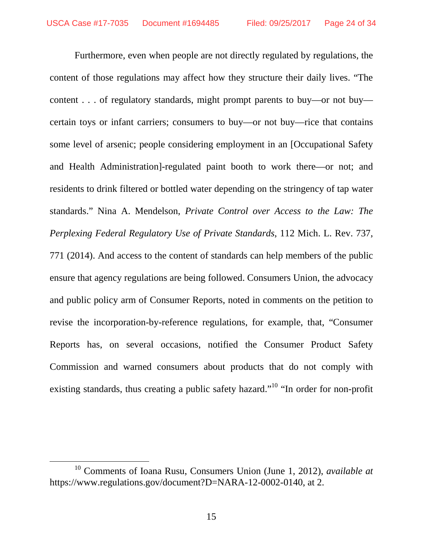Furthermore, even when people are not directly regulated by regulations, the content of those regulations may affect how they structure their daily lives. "The content . . . of regulatory standards, might prompt parents to buy—or not buy certain toys or infant carriers; consumers to buy—or not buy—rice that contains some level of arsenic; people considering employment in an [Occupational Safety and Health Administration]-regulated paint booth to work there—or not; and residents to drink filtered or bottled water depending on the stringency of tap water standards." Nina A. Mendelson, *Private Control over Access to the Law: The Perplexing Federal Regulatory Use of Private Standards*, 112 Mich. L. Rev. 737, 771 (2014). And access to the content of standards can help members of the public ensure that agency regulations are being followed. Consumers Union, the advocacy and public policy arm of Consumer Reports, noted in comments on the petition to revise the incorporation-by-reference regulations, for example, that, "Consumer Reports has, on several occasions, notified the Consumer Product Safety Commission and warned consumers about products that do not comply with existing standards, thus creating a public safety hazard."<sup>10</sup> "In order for non-profit

<sup>10</sup> Comments of Ioana Rusu, Consumers Union (June 1, 2012), *available at* https://www.regulations.gov/document?D=NARA-12-0002-0140, at 2.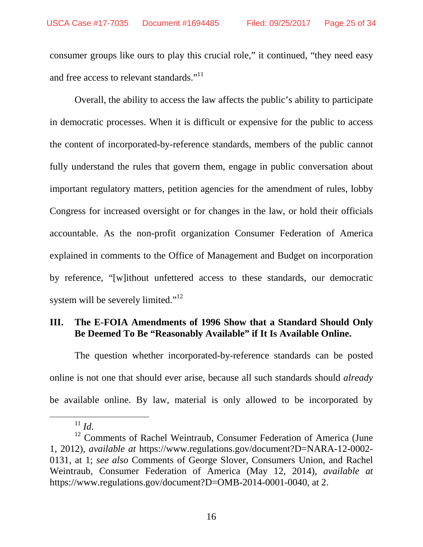consumer groups like ours to play this crucial role," it continued, "they need easy and free access to relevant standards."<sup>11</sup>

Overall, the ability to access the law affects the public's ability to participate in democratic processes. When it is difficult or expensive for the public to access the content of incorporated-by-reference standards, members of the public cannot fully understand the rules that govern them, engage in public conversation about important regulatory matters, petition agencies for the amendment of rules, lobby Congress for increased oversight or for changes in the law, or hold their officials accountable. As the non-profit organization Consumer Federation of America explained in comments to the Office of Management and Budget on incorporation by reference, "[w]ithout unfettered access to these standards, our democratic system will be severely limited."<sup>12</sup>

## **III. The E-FOIA Amendments of 1996 Show that a Standard Should Only Be Deemed To Be "Reasonably Available" if It Is Available Online.**

The question whether incorporated-by-reference standards can be posted online is not one that should ever arise, because all such standards should *already* be available online. By law, material is only allowed to be incorporated by

 $11$  *Id.* 

<sup>&</sup>lt;sup>12</sup> Comments of Rachel Weintraub, Consumer Federation of America (June 1, 2012), *available at* https://www.regulations.gov/document?D=NARA-12-0002- 0131, at 1; *see also* Comments of George Slover, Consumers Union, and Rachel Weintraub, Consumer Federation of America (May 12, 2014), *available at*  https://www.regulations.gov/document?D=OMB-2014-0001-0040, at 2.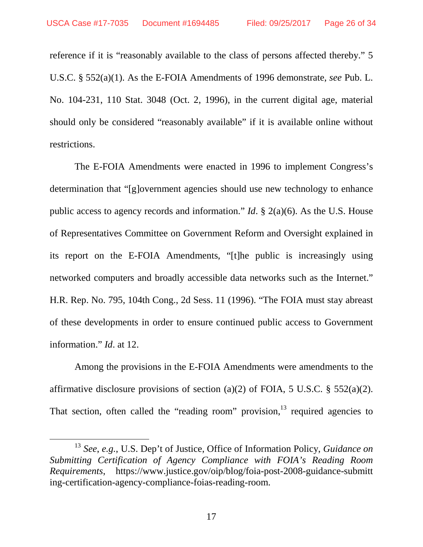reference if it is "reasonably available to the class of persons affected thereby." 5 U.S.C. § 552(a)(1). As the E-FOIA Amendments of 1996 demonstrate, *see* Pub. L. No. 104-231, 110 Stat. 3048 (Oct. 2, 1996), in the current digital age, material should only be considered "reasonably available" if it is available online without restrictions.

The E-FOIA Amendments were enacted in 1996 to implement Congress's determination that "[g]overnment agencies should use new technology to enhance public access to agency records and information." *Id*. § 2(a)(6). As the U.S. House of Representatives Committee on Government Reform and Oversight explained in its report on the E-FOIA Amendments, "[t]he public is increasingly using networked computers and broadly accessible data networks such as the Internet." H.R. Rep. No. 795, 104th Cong., 2d Sess. 11 (1996). "The FOIA must stay abreast of these developments in order to ensure continued public access to Government information." *Id*. at 12.

Among the provisions in the E-FOIA Amendments were amendments to the affirmative disclosure provisions of section (a)(2) of FOIA, 5 U.S.C.  $\S$  552(a)(2). That section, often called the "reading room" provision, $13$  required agencies to

<sup>13</sup> *See*, *e.g.*, U.S. Dep't of Justice, Office of Information Policy, *Guidance on Submitting Certification of Agency Compliance with FOIA's Reading Room Requirements*, https://www.justice.gov/oip/blog/foia-post-2008-guidance-submitt ing-certification-agency-compliance-foias-reading-room.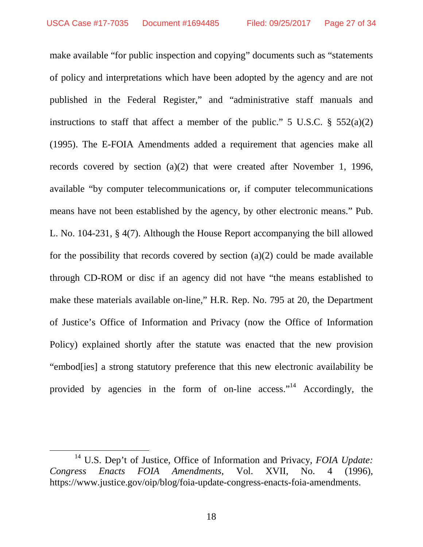make available "for public inspection and copying" documents such as "statements of policy and interpretations which have been adopted by the agency and are not published in the Federal Register," and "administrative staff manuals and instructions to staff that affect a member of the public." 5 U.S.C.  $\S$  552(a)(2) (1995). The E-FOIA Amendments added a requirement that agencies make all records covered by section (a)(2) that were created after November 1, 1996, available "by computer telecommunications or, if computer telecommunications means have not been established by the agency, by other electronic means." Pub. L. No. 104-231, § 4(7). Although the House Report accompanying the bill allowed for the possibility that records covered by section (a)(2) could be made available through CD-ROM or disc if an agency did not have "the means established to make these materials available on-line," H.R. Rep. No. 795 at 20, the Department of Justice's Office of Information and Privacy (now the Office of Information Policy) explained shortly after the statute was enacted that the new provision "embod[ies] a strong statutory preference that this new electronic availability be provided by agencies in the form of on-line access."<sup>14</sup> Accordingly, the

<sup>&</sup>lt;sup>14</sup> U.S. Dep't of Justice, Office of Information and Privacy, *FOIA Update: Congress Enacts FOIA Amendments*, Vol. XVII, No. 4 (1996), https://www.justice.gov/oip/blog/foia-update-congress-enacts-foia-amendments.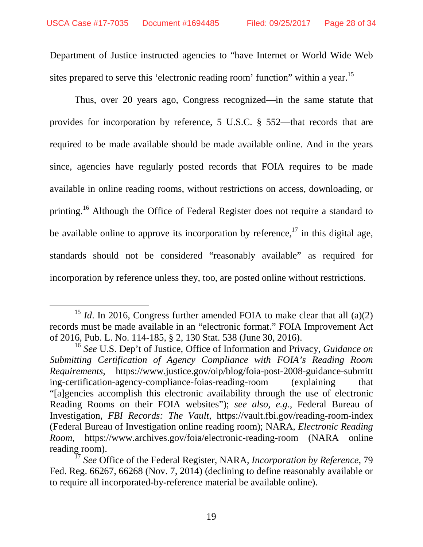Department of Justice instructed agencies to "have Internet or World Wide Web sites prepared to serve this 'electronic reading room' function'' within a year.<sup>15</sup>

Thus, over 20 years ago, Congress recognized—in the same statute that provides for incorporation by reference, 5 U.S.C. § 552—that records that are required to be made available should be made available online. And in the years since, agencies have regularly posted records that FOIA requires to be made available in online reading rooms, without restrictions on access, downloading, or printing.<sup>16</sup> Although the Office of Federal Register does not require a standard to be available online to approve its incorporation by reference,  $17$  in this digital age, standards should not be considered "reasonably available" as required for incorporation by reference unless they, too, are posted online without restrictions.

<sup>&</sup>lt;sup>15</sup> *Id*. In 2016, Congress further amended FOIA to make clear that all  $(a)(2)$ records must be made available in an "electronic format." FOIA Improvement Act of 2016, Pub. L. No. 114-185, § 2, 130 Stat. 538 (June 30, 2016).

<sup>16</sup> *See* U.S. Dep't of Justice, Office of Information and Privacy, *Guidance on Submitting Certification of Agency Compliance with FOIA's Reading Room Requirements*, https://www.justice.gov/oip/blog/foia-post-2008-guidance-submitt ing-certification-agency-compliance-foias-reading-room (explaining that "[a]gencies accomplish this electronic availability through the use of electronic Reading Rooms on their FOIA websites"); *see also*, *e.g.*, Federal Bureau of Investigation, *FBI Records: The Vault*, https://vault.fbi.gov/reading-room-index (Federal Bureau of Investigation online reading room); NARA, *Electronic Reading Room*, https://www.archives.gov/foia/electronic-reading-room (NARA online reading room).

<sup>17</sup> *See* Office of the Federal Register, NARA, *Incorporation by Reference*, 79 Fed. Reg. 66267, 66268 (Nov. 7, 2014) (declining to define reasonably available or to require all incorporated-by-reference material be available online).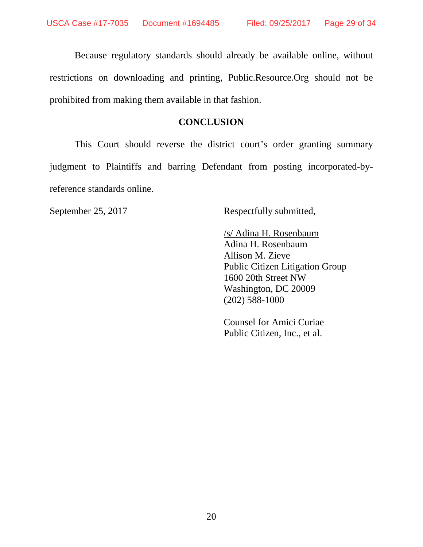Because regulatory standards should already be available online, without restrictions on downloading and printing, Public.Resource.Org should not be prohibited from making them available in that fashion.

### **CONCLUSION**

This Court should reverse the district court's order granting summary judgment to Plaintiffs and barring Defendant from posting incorporated-byreference standards online.

September 25, 2017 Respectfully submitted,

 /s/ Adina H. Rosenbaum Adina H. Rosenbaum Allison M. Zieve Public Citizen Litigation Group 1600 20th Street NW Washington, DC 20009 (202) 588-1000

 Counsel for Amici Curiae Public Citizen, Inc., et al.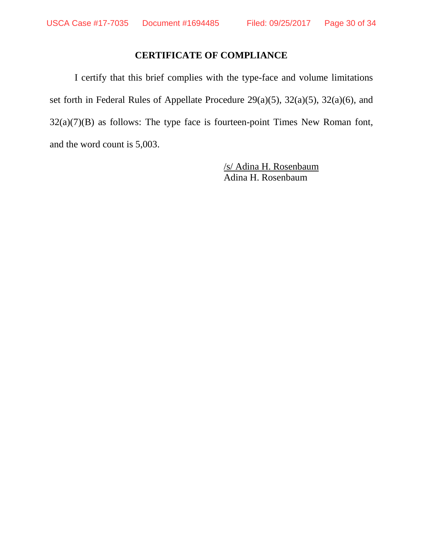## **CERTIFICATE OF COMPLIANCE**

I certify that this brief complies with the type-face and volume limitations set forth in Federal Rules of Appellate Procedure 29(a)(5), 32(a)(5), 32(a)(6), and  $32(a)(7)(B)$  as follows: The type face is fourteen-point Times New Roman font, and the word count is 5,003.

> /s/ Adina H. Rosenbaum Adina H. Rosenbaum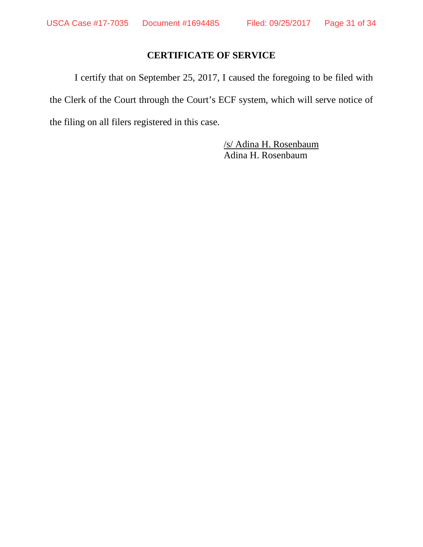## **CERTIFICATE OF SERVICE**

I certify that on September 25, 2017, I caused the foregoing to be filed with the Clerk of the Court through the Court's ECF system, which will serve notice of the filing on all filers registered in this case.

> /s/ Adina H. Rosenbaum Adina H. Rosenbaum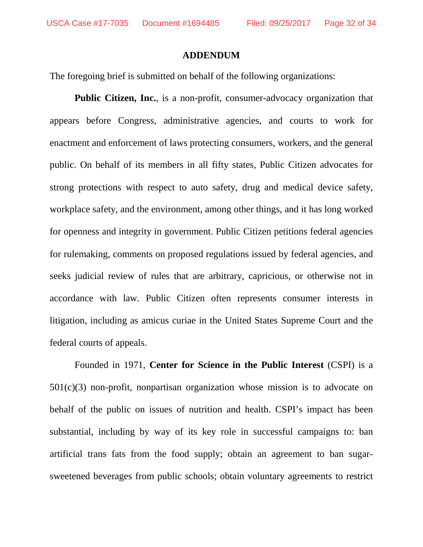#### **ADDENDUM**

The foregoing brief is submitted on behalf of the following organizations:

**Public Citizen, Inc.**, is a non-profit, consumer-advocacy organization that appears before Congress, administrative agencies, and courts to work for enactment and enforcement of laws protecting consumers, workers, and the general public. On behalf of its members in all fifty states, Public Citizen advocates for strong protections with respect to auto safety, drug and medical device safety, workplace safety, and the environment, among other things, and it has long worked for openness and integrity in government. Public Citizen petitions federal agencies for rulemaking, comments on proposed regulations issued by federal agencies, and seeks judicial review of rules that are arbitrary, capricious, or otherwise not in accordance with law. Public Citizen often represents consumer interests in litigation, including as amicus curiae in the United States Supreme Court and the federal courts of appeals.

Founded in 1971, **Center for Science in the Public Interest** (CSPI) is a  $501(c)(3)$  non-profit, nonpartisan organization whose mission is to advocate on behalf of the public on issues of nutrition and health. CSPI's impact has been substantial, including by way of its key role in successful campaigns to: ban artificial trans fats from the food supply; obtain an agreement to ban sugarsweetened beverages from public schools; obtain voluntary agreements to restrict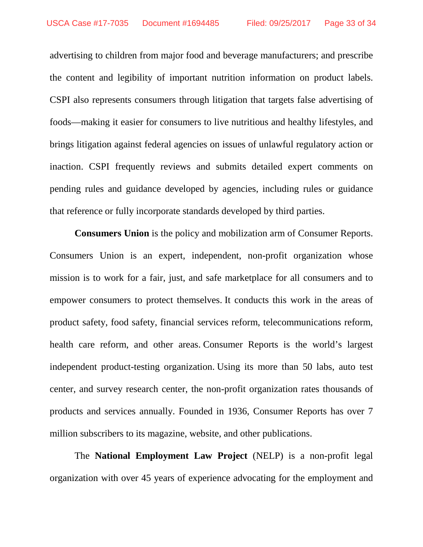advertising to children from major food and beverage manufacturers; and prescribe the content and legibility of important nutrition information on product labels. CSPI also represents consumers through litigation that targets false advertising of foods—making it easier for consumers to live nutritious and healthy lifestyles, and brings litigation against federal agencies on issues of unlawful regulatory action or inaction. CSPI frequently reviews and submits detailed expert comments on pending rules and guidance developed by agencies, including rules or guidance that reference or fully incorporate standards developed by third parties.

**Consumers Union** is the policy and mobilization arm of Consumer Reports. Consumers Union is an expert, independent, non-profit organization whose mission is to work for a fair, just, and safe marketplace for all consumers and to empower consumers to protect themselves. It conducts this work in the areas of product safety, food safety, financial services reform, telecommunications reform, health care reform, and other areas. Consumer Reports is the world's largest independent product-testing organization. Using its more than 50 labs, auto test center, and survey research center, the non-profit organization rates thousands of products and services annually. Founded in 1936, Consumer Reports has over 7 million subscribers to its magazine, website, and other publications.

The **National Employment Law Project** (NELP) is a non-profit legal organization with over 45 years of experience advocating for the employment and